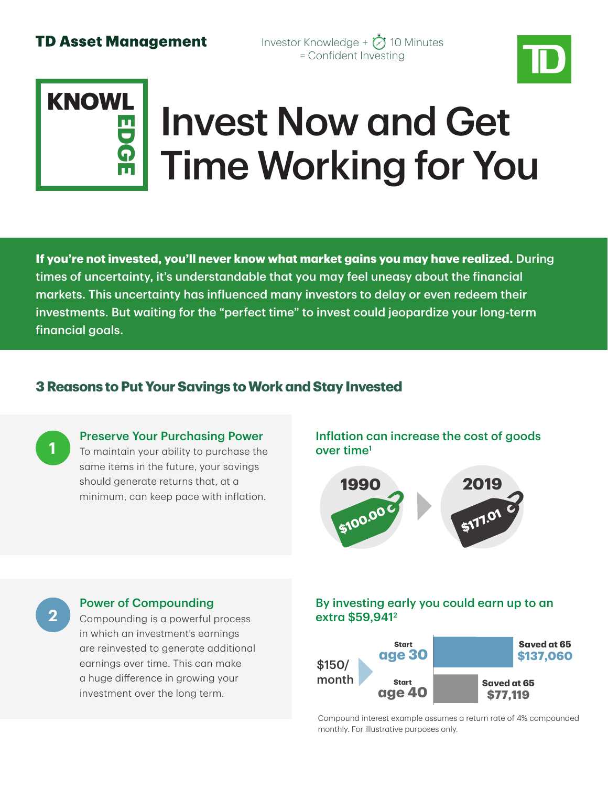Investor Knowledge +  $\bigcirc$  10 Minutes = Confident Investing



# Invest Now and Get Time Working for You **KNOWLEDGE**

**If you're not invested, you'll never know what market gains you may have realized.** During times of uncertainty, it's understandable that you may feel uneasy about the financial markets. This uncertainty has influenced many investors to delay or even redeem their investments. But waiting for the "perfect time" to invest could jeopardize your long-term financial goals.

### **3 Reasons to Put Your Savings to Work and Stay Invested**



### Preserve Your Purchasing Power

To maintain your ability to purchase the same items in the future, your savings should generate returns that, at a minimum, can keep pace with inflation.

Inflation can increase the cost of goods over time1



### Power of Compounding

2 Compounding is a powerful process **2 2 2 2 2 241**<sup>2</sup> in which an investment's earnings are reinvested to generate additional earnings over time. This can make a huge difference in growing your investment over the long term.

# By investing early you could earn up to an



Compound interest example assumes a return rate of 4% compounded monthly. For illustrative purposes only.